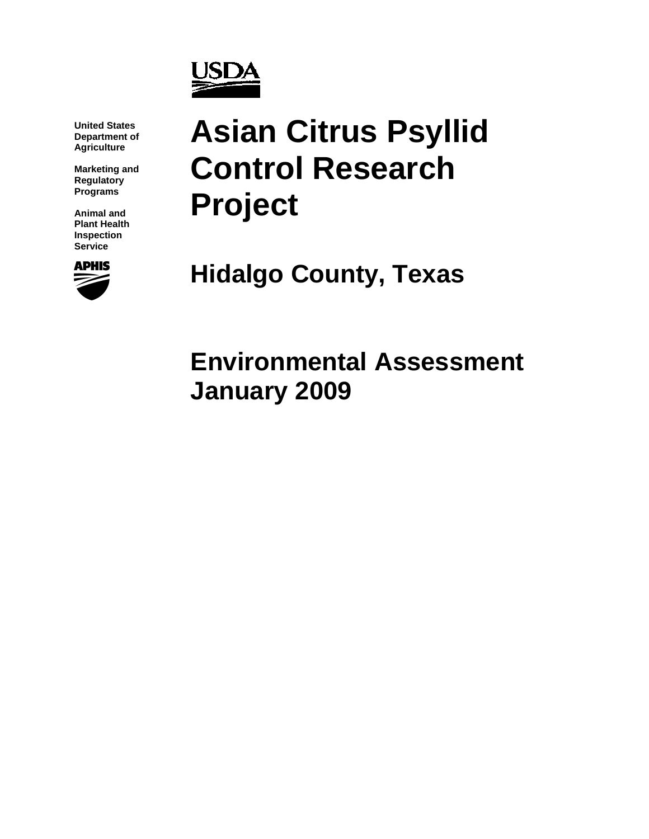

**United States Department of Agriculture** 

**Marketing and Regulatory Programs** 

**Animal and Plant Health Inspection Service** 



# **Asian Citrus Psyllid Control Research Project**

**Hidalgo County, Texas** 

**Environmental Assessment January 2009**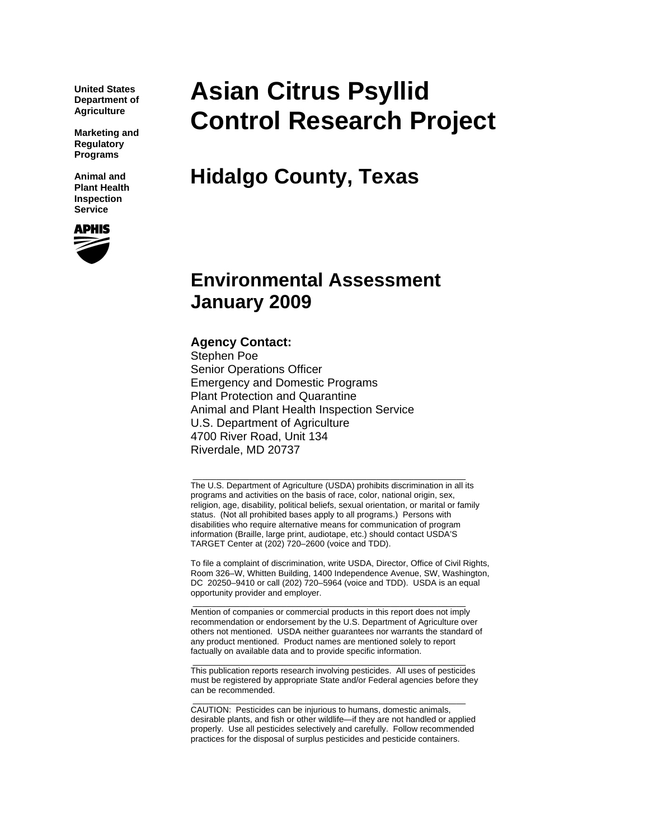**United States Department of Agriculture** 

**Marketing and Regulatory Programs** 

**Animal and Plant Health Inspection Service** 



## **Asian Citrus Psyllid Control Research Project**

**Hidalgo County, Texas** 

### **Environmental Assessment January 2009**

#### **Agency Contact:**

Stephen Poe Senior Operations Officer Emergency and Domestic Programs Plant Protection and Quarantine Animal and Plant Health Inspection Service U.S. Department of Agriculture 4700 River Road, Unit 134 Riverdale, MD 20737

The U.S. Department of Agriculture (USDA) prohibits discrimination in all its programs and activities on the basis of race, color, national origin, sex, religion, age, disability, political beliefs, sexual orientation, or marital or family status. (Not all prohibited bases apply to all programs.) Persons with disabilities who require alternative means for communication of program information (Braille, large print, audiotape, etc.) should contact USDA'S TARGET Center at (202) 720–2600 (voice and TDD).

\_\_\_\_\_\_\_\_\_\_\_\_\_\_\_\_\_\_\_\_\_\_\_\_\_\_\_\_\_\_\_\_\_\_\_\_\_\_\_\_\_\_\_\_\_\_\_\_\_\_\_\_\_\_\_\_\_\_

To file a complaint of discrimination, write USDA, Director, Office of Civil Rights, Room 326–W, Whitten Building, 1400 Independence Avenue, SW, Washington, DC 20250–9410 or call (202) 720–5964 (voice and TDD). USDA is an equal opportunity provider and employer.

Mention of companies or commercial products in this report does not imply recommendation or endorsement by the U.S. Department of Agriculture over others not mentioned. USDA neither guarantees nor warrants the standard of any product mentioned. Product names are mentioned solely to report factually on available data and to provide specific information.

\_\_\_\_\_\_\_\_\_\_\_\_\_\_\_\_\_\_\_\_\_\_\_\_\_\_\_\_\_\_\_\_\_\_\_\_\_\_\_\_\_\_\_\_\_\_\_\_\_\_\_\_\_\_\_\_\_\_

\_\_\_\_\_\_\_\_\_\_\_\_\_\_\_\_\_\_\_\_\_\_\_\_\_\_\_\_\_\_\_\_\_\_\_\_\_\_\_\_\_\_\_\_\_\_\_\_\_\_\_\_\_\_\_\_\_\_ This publication reports research involving pesticides. All uses of pesticides must be registered by appropriate State and/or Federal agencies before they can be recommended.

\_\_\_\_\_\_\_\_\_\_\_\_\_\_\_\_\_\_\_\_\_\_\_\_\_\_\_\_\_\_\_\_\_\_\_\_\_\_\_\_\_\_\_\_\_\_\_\_\_\_\_\_\_\_\_\_\_\_

CAUTION: Pesticides can be injurious to humans, domestic animals, desirable plants, and fish or other wildlife—if they are not handled or applied properly. Use all pesticides selectively and carefully. Follow recommended practices for the disposal of surplus pesticides and pesticide containers.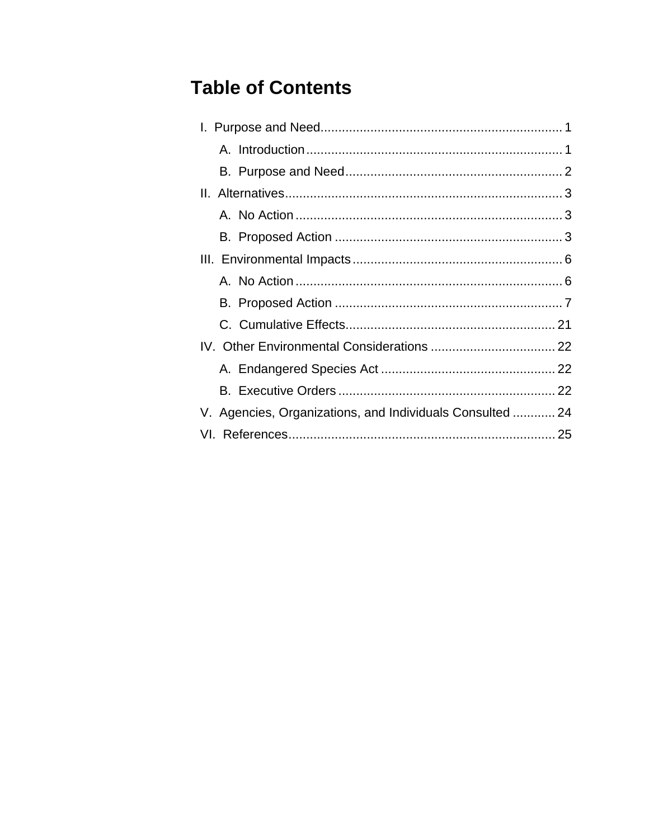### **Table of Contents**

| V. Agencies, Organizations, and Individuals Consulted  24 |  |
|-----------------------------------------------------------|--|
|                                                           |  |
|                                                           |  |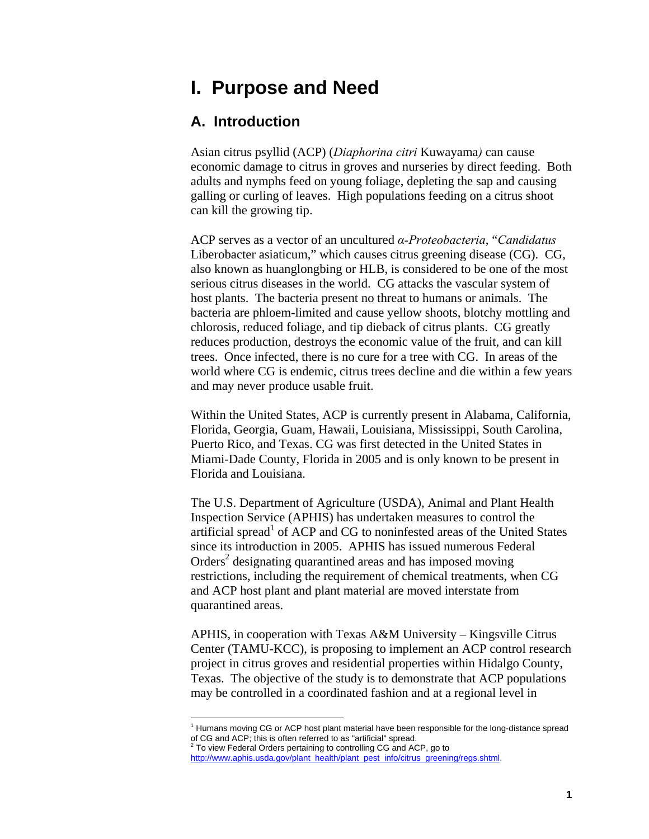### **I. Purpose and Need**

#### **A. Introduction**

Asian citrus psyllid (ACP) (*Diaphorina citri* Kuwayama*)* can cause economic damage to citrus in groves and nurseries by direct feeding. Both adults and nymphs feed on young foliage, depleting the sap and causing galling or curling of leaves. High populations feeding on a citrus shoot can kill the growing tip.

ACP serves as a vector of an uncultured *α-Proteobacteria*, "*Candidatus*  Liberobacter asiaticum," which causes citrus greening disease (CG). CG, also known as huanglongbing or HLB, is considered to be one of the most serious citrus diseases in the world. CG attacks the vascular system of host plants. The bacteria present no threat to humans or animals. The bacteria are phloem-limited and cause yellow shoots, blotchy mottling and chlorosis, reduced foliage, and tip dieback of citrus plants. CG greatly reduces production, destroys the economic value of the fruit, and can kill trees. Once infected, there is no cure for a tree with CG. In areas of the world where CG is endemic, citrus trees decline and die within a few years and may never produce usable fruit.

Within the United States, ACP is currently present in Alabama, California, Florida, Georgia, Guam, Hawaii, Louisiana, Mississippi, South Carolina, Puerto Rico, and Texas. CG was first detected in the United States in Miami-Dade County, Florida in 2005 and is only known to be present in Florida and Louisiana.

The U.S. Department of Agriculture (USDA), Animal and Plant Health Inspection Service (APHIS) has undertaken measures to control the artificial spread<sup>1</sup> of ACP and CG to noninfested areas of the United States since its introduction in 2005. APHIS has issued numerous Federal Orders<sup>2</sup> designating quarantined areas and has imposed moving restrictions, including the requirement of chemical treatments, when CG and ACP host plant and plant material are moved interstate from quarantined areas.

APHIS, in cooperation with Texas A&M University – Kingsville Citrus Center (TAMU-KCC), is proposing to implement an ACP control research project in citrus groves and residential properties within Hidalgo County, Texas. The objective of the study is to demonstrate that ACP populations may be controlled in a coordinated fashion and at a regional level in

 $\overline{a}$ 

<sup>&</sup>lt;sup>1</sup> Humans moving CG or ACP host plant material have been responsible for the long-distance spread of CG and ACP; this is often referred to as "artificial" spread.<br><sup>2</sup> To view Federal Orders pertaining to controlling CG and ACP, go to

http://www.aphis.usda.gov/plant\_health/plant\_pest\_info/citrus\_greening/regs.shtml.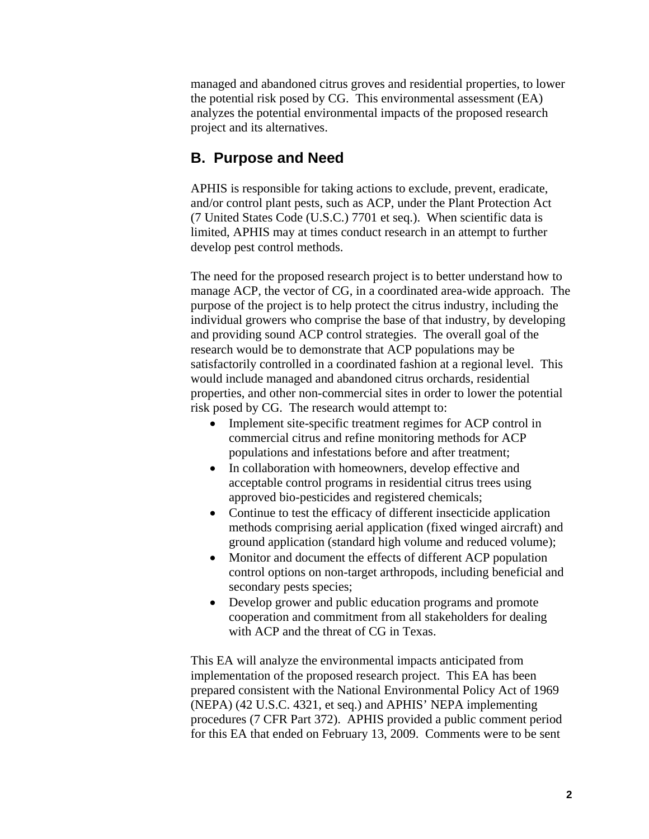managed and abandoned citrus groves and residential properties, to lower the potential risk posed by CG. This environmental assessment (EA) analyzes the potential environmental impacts of the proposed research project and its alternatives.

#### **B. Purpose and Need**

APHIS is responsible for taking actions to exclude, prevent, eradicate, and/or control plant pests, such as ACP, under the Plant Protection Act (7 United States Code (U.S.C.) 7701 et seq.). When scientific data is limited, APHIS may at times conduct research in an attempt to further develop pest control methods.

The need for the proposed research project is to better understand how to manage ACP, the vector of CG, in a coordinated area-wide approach. The purpose of the project is to help protect the citrus industry, including the individual growers who comprise the base of that industry, by developing and providing sound ACP control strategies. The overall goal of the research would be to demonstrate that ACP populations may be satisfactorily controlled in a coordinated fashion at a regional level. This would include managed and abandoned citrus orchards, residential properties, and other non-commercial sites in order to lower the potential risk posed by CG. The research would attempt to:

- Implement site-specific treatment regimes for ACP control in commercial citrus and refine monitoring methods for ACP populations and infestations before and after treatment;
- In collaboration with homeowners, develop effective and acceptable control programs in residential citrus trees using approved bio-pesticides and registered chemicals;
- Continue to test the efficacy of different insecticide application methods comprising aerial application (fixed winged aircraft) and ground application (standard high volume and reduced volume);
- Monitor and document the effects of different ACP population control options on non-target arthropods, including beneficial and secondary pests species;
- Develop grower and public education programs and promote cooperation and commitment from all stakeholders for dealing with ACP and the threat of CG in Texas.

This EA will analyze the environmental impacts anticipated from implementation of the proposed research project. This EA has been prepared consistent with the National Environmental Policy Act of 1969 (NEPA) (42 U.S.C. 4321, et seq.) and APHIS' NEPA implementing procedures (7 CFR Part 372). APHIS provided a public comment period for this EA that ended on February 13, 2009. Comments were to be sent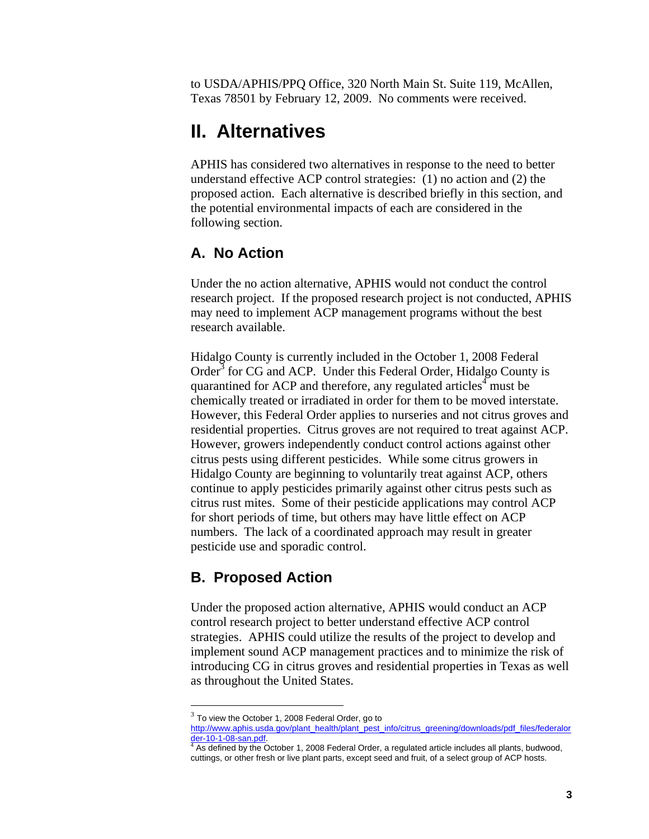to USDA/APHIS/PPQ Office, 320 North Main St. Suite 119, McAllen, Texas 78501 by February 12, 2009. No comments were received.

### **II. Alternatives**

APHIS has considered two alternatives in response to the need to better understand effective ACP control strategies: (1) no action and (2) the proposed action. Each alternative is described briefly in this section, and the potential environmental impacts of each are considered in the following section.

#### **A. No Action**

Under the no action alternative, APHIS would not conduct the control research project. If the proposed research project is not conducted, APHIS may need to implement ACP management programs without the best research available.

Hidalgo County is currently included in the October 1, 2008 Federal Order<sup>3</sup> for CG and ACP. Under this Federal Order, Hidalgo County is quarantined for ACP and therefore, any regulated articles<sup>4</sup> must be chemically treated or irradiated in order for them to be moved interstate. However, this Federal Order applies to nurseries and not citrus groves and residential properties. Citrus groves are not required to treat against ACP. However, growers independently conduct control actions against other citrus pests using different pesticides. While some citrus growers in Hidalgo County are beginning to voluntarily treat against ACP, others continue to apply pesticides primarily against other citrus pests such as citrus rust mites. Some of their pesticide applications may control ACP for short periods of time, but others may have little effect on ACP numbers. The lack of a coordinated approach may result in greater pesticide use and sporadic control.

#### **B. Proposed Action**

 $\overline{a}$ 

Under the proposed action alternative, APHIS would conduct an ACP control research project to better understand effective ACP control strategies. APHIS could utilize the results of the project to develop and implement sound ACP management practices and to minimize the risk of introducing CG in citrus groves and residential properties in Texas as well as throughout the United States.

 $3$  To view the October 1, 2008 Federal Order, go to

http://www.aphis.usda.gov/plant\_health/plant\_pest\_info/citrus\_greening/downloads/pdf\_files/federalor <u>der-10-1-08-san.pdf</u>.<br><sup>4</sup> As defined by the October 1, 2008 Federal Order, a regulated article includes all plants, budwood,

cuttings, or other fresh or live plant parts, except seed and fruit, of a select group of ACP hosts.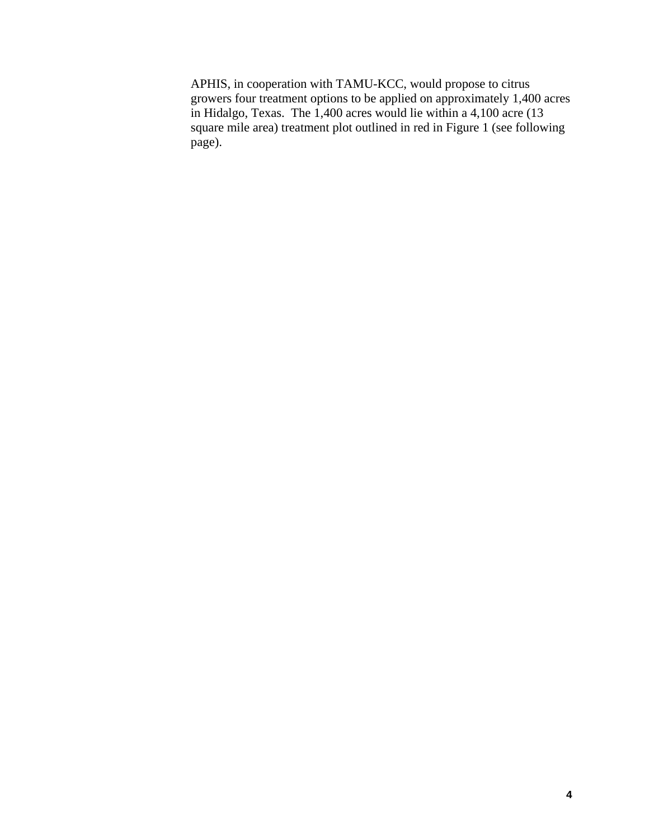APHIS, in cooperation with TAMU-KCC, would propose to citrus growers four treatment options to be applied on approximately 1,400 acres in Hidalgo, Texas. The 1,400 acres would lie within a 4,100 acre (13 square mile area) treatment plot outlined in red in Figure 1 (see following page).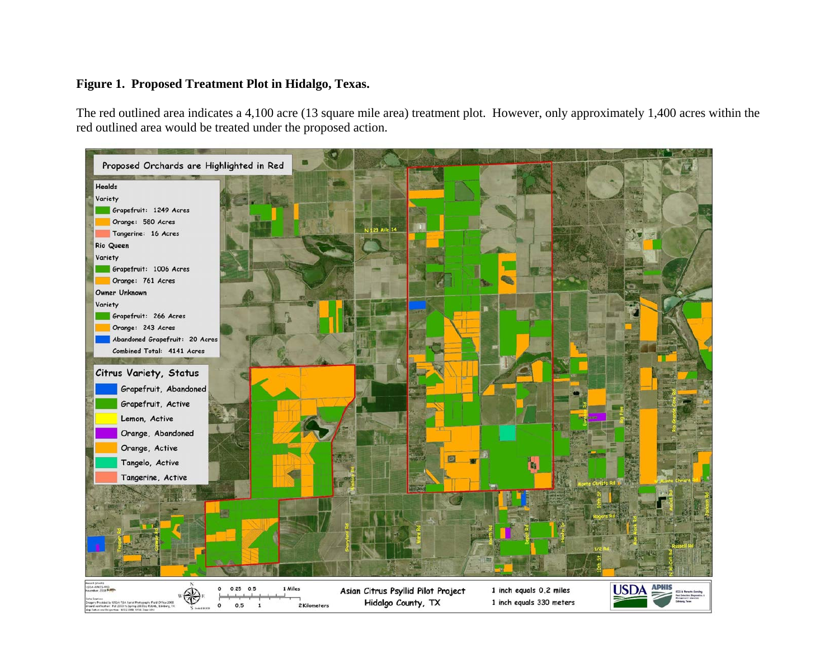#### **Figure 1. Proposed Treatment Plot in Hidalgo, Texas.**

The red outlined area indicates a 4,100 acre (13 square mile area) treatment plot. However, only approximately 1,400 acres within the red outlined area would be treated under the proposed action.

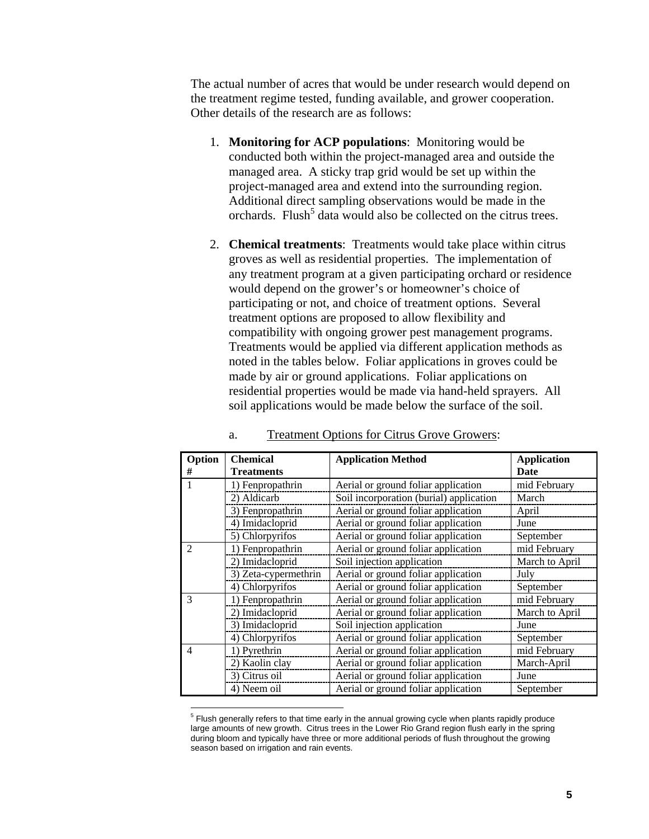The actual number of acres that would be under research would depend on the treatment regime tested, funding available, and grower cooperation. Other details of the research are as follows:

- 1. **Monitoring for ACP populations**: Monitoring would be conducted both within the project-managed area and outside the managed area. A sticky trap grid would be set up within the project-managed area and extend into the surrounding region. Additional direct sampling observations would be made in the orchards. Flush<sup>5</sup> data would also be collected on the citrus trees.
- 2. **Chemical treatments**: Treatments would take place within citrus groves as well as residential properties. The implementation of any treatment program at a given participating orchard or residence would depend on the grower's or homeowner's choice of participating or not, and choice of treatment options. Several treatment options are proposed to allow flexibility and compatibility with ongoing grower pest management programs. Treatments would be applied via different application methods as noted in the tables below. Foliar applications in groves could be made by air or ground applications. Foliar applications on residential properties would be made via hand-held sprayers. All soil applications would be made below the surface of the soil.

| Option                            | <b>Chemical</b>      | <b>Application Method</b>               | <b>Application</b> |
|-----------------------------------|----------------------|-----------------------------------------|--------------------|
| #                                 | <b>Treatments</b>    |                                         | Date               |
|                                   | 1) Fenpropathrin     | Aerial or ground foliar application     | mid February       |
|                                   | 2) Aldicarb          | Soil incorporation (burial) application | March              |
|                                   | 3) Fenpropathrin     | Aerial or ground foliar application     | April              |
|                                   | 4) Imidacloprid      | Aerial or ground foliar application     | June               |
|                                   | 5) Chlorpyrifos      | Aerial or ground foliar application     | September          |
| $\mathfrak{D}$                    | 1) Fenpropathrin     | Aerial or ground foliar application     | mid February       |
|                                   | 2) Imidacloprid      | Soil injection application              | March to April     |
|                                   | 3) Zeta-cypermethrin | Aerial or ground foliar application     | July               |
|                                   | 4) Chlorpyrifos      | Aerial or ground foliar application     | September          |
| $\mathcal{R}$<br>1) Fenpropathrin |                      | Aerial or ground foliar application     | mid February       |
|                                   | 2) Imidacloprid      | Aerial or ground foliar application     | March to April     |
|                                   | 3) Imidacloprid      | Soil injection application              | June               |
|                                   | 4) Chlorpyrifos      | Aerial or ground foliar application     | September          |
| $\boldsymbol{\Delta}$             | 1) Pyrethrin         | Aerial or ground foliar application     | mid February       |
|                                   | 2) Kaolin clay       | Aerial or ground foliar application     | March-April        |
|                                   | 3) Citrus oil        | Aerial or ground foliar application     | June               |
|                                   | 4) Neem oil          | Aerial or ground foliar application     | September          |

#### a. Treatment Options for Citrus Grove Growers:

 5 Flush generally refers to that time early in the annual growing cycle when plants rapidly produce large amounts of new growth. Citrus trees in the Lower Rio Grand region flush early in the spring during bloom and typically have three or more additional periods of flush throughout the growing season based on irrigation and rain events.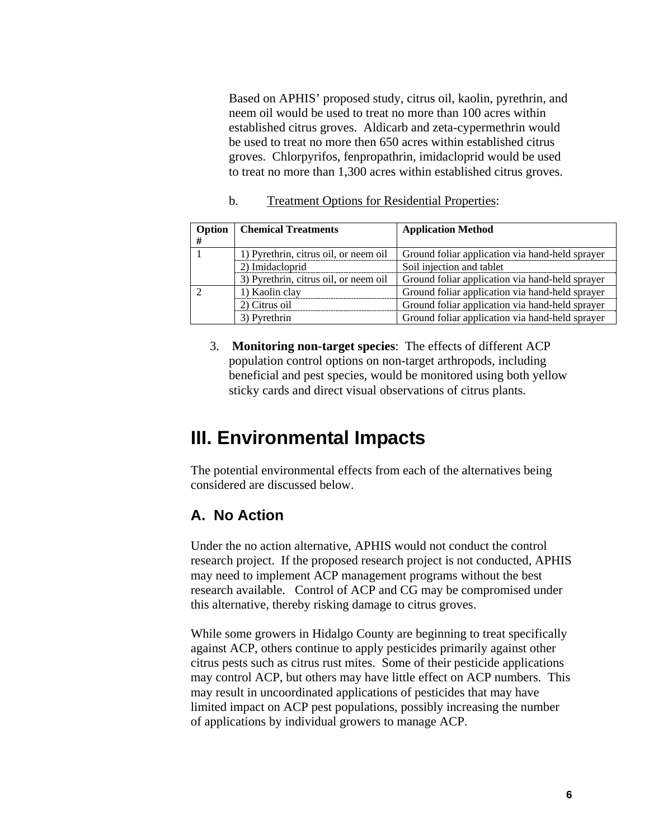Based on APHIS' proposed study, citrus oil, kaolin, pyrethrin, and neem oil would be used to treat no more than 100 acres within established citrus groves. Aldicarb and zeta-cypermethrin would be used to treat no more then 650 acres within established citrus groves. Chlorpyrifos, fenpropathrin, imidacloprid would be used to treat no more than 1,300 acres within established citrus groves.

b. Treatment Options for Residential Properties:

| Option<br># | <b>Chemical Treatments</b>            | <b>Application Method</b>                       |
|-------------|---------------------------------------|-------------------------------------------------|
|             | 1) Pyrethrin, citrus oil, or neem oil | Ground foliar application via hand-held sprayer |
|             | 2) Imidacloprid                       | Soil injection and tablet                       |
|             | 3) Pyrethrin, citrus oil, or neem oil | Ground foliar application via hand-held sprayer |
|             | 1) Kaolin clay                        | Ground foliar application via hand-held sprayer |
|             | 2) Citrus oil                         | Ground foliar application via hand-held sprayer |
|             | 3) Pyrethrin                          | Ground foliar application via hand-held sprayer |

3. **Monitoring non-target species**: The effects of different ACP population control options on non-target arthropods, including beneficial and pest species, would be monitored using both yellow sticky cards and direct visual observations of citrus plants.

### **III. Environmental Impacts**

The potential environmental effects from each of the alternatives being considered are discussed below.

### **A. No Action**

Under the no action alternative, APHIS would not conduct the control research project. If the proposed research project is not conducted, APHIS may need to implement ACP management programs without the best research available. Control of ACP and CG may be compromised under this alternative, thereby risking damage to citrus groves.

While some growers in Hidalgo County are beginning to treat specifically against ACP, others continue to apply pesticides primarily against other citrus pests such as citrus rust mites. Some of their pesticide applications may control ACP, but others may have little effect on ACP numbers. This may result in uncoordinated applications of pesticides that may have limited impact on ACP pest populations, possibly increasing the number of applications by individual growers to manage ACP.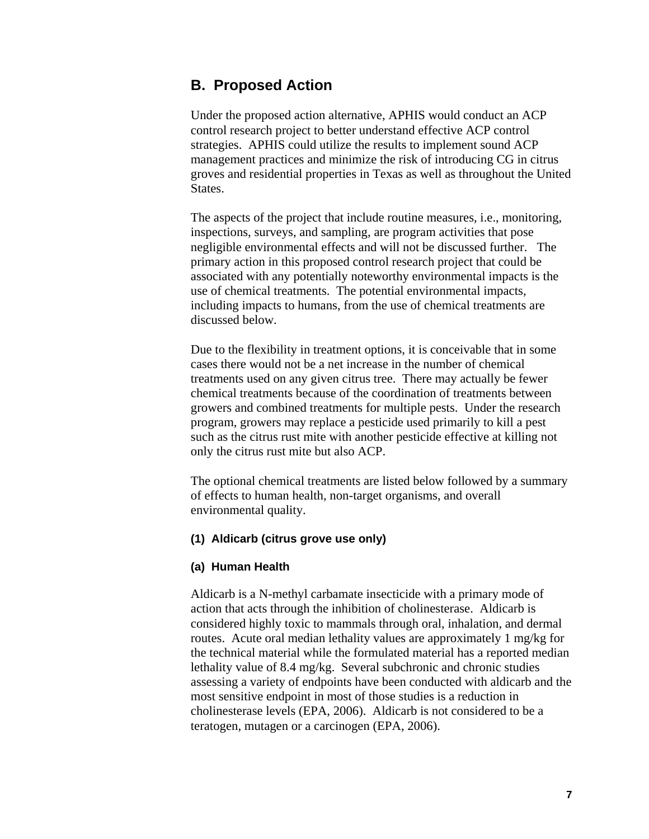#### **B. Proposed Action**

Under the proposed action alternative, APHIS would conduct an ACP control research project to better understand effective ACP control strategies. APHIS could utilize the results to implement sound ACP management practices and minimize the risk of introducing CG in citrus groves and residential properties in Texas as well as throughout the United States.

The aspects of the project that include routine measures, i.e., monitoring, inspections, surveys, and sampling, are program activities that pose negligible environmental effects and will not be discussed further. The primary action in this proposed control research project that could be associated with any potentially noteworthy environmental impacts is the use of chemical treatments. The potential environmental impacts, including impacts to humans, from the use of chemical treatments are discussed below.

Due to the flexibility in treatment options, it is conceivable that in some cases there would not be a net increase in the number of chemical treatments used on any given citrus tree. There may actually be fewer chemical treatments because of the coordination of treatments between growers and combined treatments for multiple pests. Under the research program, growers may replace a pesticide used primarily to kill a pest such as the citrus rust mite with another pesticide effective at killing not only the citrus rust mite but also ACP.

The optional chemical treatments are listed below followed by a summary of effects to human health, non-target organisms, and overall environmental quality.

#### **(1) Aldicarb (citrus grove use only)**

#### **(a) Human Health**

Aldicarb is a N-methyl carbamate insecticide with a primary mode of action that acts through the inhibition of cholinesterase. Aldicarb is considered highly toxic to mammals through oral, inhalation, and dermal routes. Acute oral median lethality values are approximately 1 mg/kg for the technical material while the formulated material has a reported median lethality value of 8.4 mg/kg. Several subchronic and chronic studies assessing a variety of endpoints have been conducted with aldicarb and the most sensitive endpoint in most of those studies is a reduction in cholinesterase levels (EPA, 2006). Aldicarb is not considered to be a teratogen, mutagen or a carcinogen (EPA, 2006).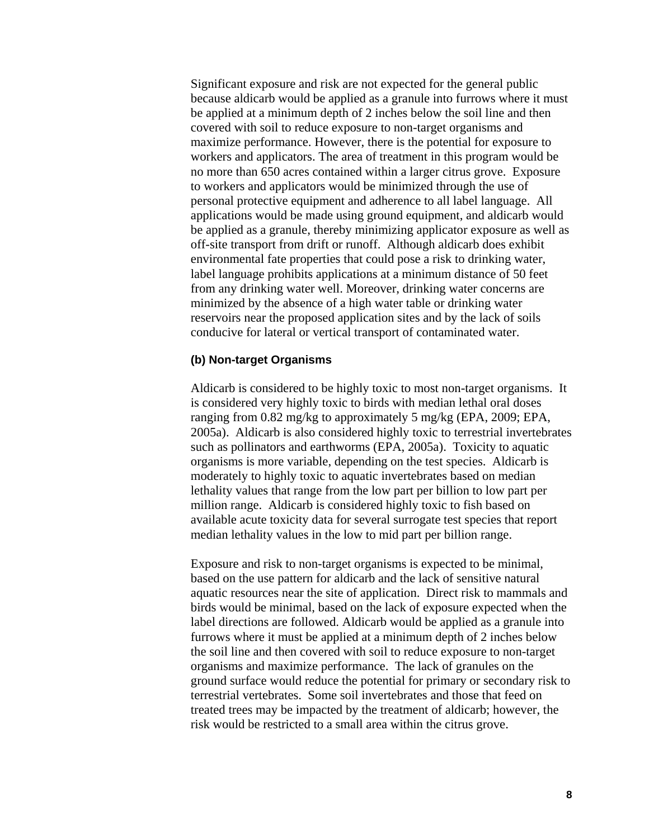Significant exposure and risk are not expected for the general public because aldicarb would be applied as a granule into furrows where it must be applied at a minimum depth of 2 inches below the soil line and then covered with soil to reduce exposure to non-target organisms and maximize performance. However, there is the potential for exposure to workers and applicators. The area of treatment in this program would be no more than 650 acres contained within a larger citrus grove. Exposure to workers and applicators would be minimized through the use of personal protective equipment and adherence to all label language. All applications would be made using ground equipment, and aldicarb would be applied as a granule, thereby minimizing applicator exposure as well as off-site transport from drift or runoff. Although aldicarb does exhibit environmental fate properties that could pose a risk to drinking water, label language prohibits applications at a minimum distance of 50 feet from any drinking water well. Moreover, drinking water concerns are minimized by the absence of a high water table or drinking water reservoirs near the proposed application sites and by the lack of soils conducive for lateral or vertical transport of contaminated water.

#### **(b) Non-target Organisms**

Aldicarb is considered to be highly toxic to most non-target organisms. It is considered very highly toxic to birds with median lethal oral doses ranging from 0.82 mg/kg to approximately 5 mg/kg (EPA, 2009; EPA, 2005a). Aldicarb is also considered highly toxic to terrestrial invertebrates such as pollinators and earthworms (EPA, 2005a). Toxicity to aquatic organisms is more variable, depending on the test species. Aldicarb is moderately to highly toxic to aquatic invertebrates based on median lethality values that range from the low part per billion to low part per million range. Aldicarb is considered highly toxic to fish based on available acute toxicity data for several surrogate test species that report median lethality values in the low to mid part per billion range.

Exposure and risk to non-target organisms is expected to be minimal, based on the use pattern for aldicarb and the lack of sensitive natural aquatic resources near the site of application. Direct risk to mammals and birds would be minimal, based on the lack of exposure expected when the label directions are followed. Aldicarb would be applied as a granule into furrows where it must be applied at a minimum depth of 2 inches below the soil line and then covered with soil to reduce exposure to non-target organisms and maximize performance. The lack of granules on the ground surface would reduce the potential for primary or secondary risk to terrestrial vertebrates. Some soil invertebrates and those that feed on treated trees may be impacted by the treatment of aldicarb; however, the risk would be restricted to a small area within the citrus grove.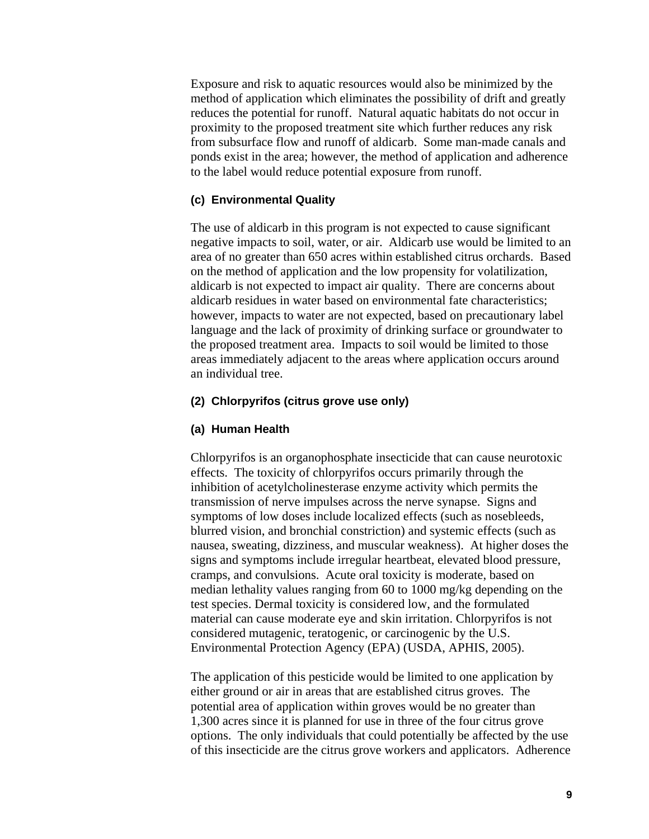Exposure and risk to aquatic resources would also be minimized by the method of application which eliminates the possibility of drift and greatly reduces the potential for runoff. Natural aquatic habitats do not occur in proximity to the proposed treatment site which further reduces any risk from subsurface flow and runoff of aldicarb. Some man-made canals and ponds exist in the area; however, the method of application and adherence to the label would reduce potential exposure from runoff.

#### **(c) Environmental Quality**

The use of aldicarb in this program is not expected to cause significant negative impacts to soil, water, or air. Aldicarb use would be limited to an area of no greater than 650 acres within established citrus orchards. Based on the method of application and the low propensity for volatilization, aldicarb is not expected to impact air quality. There are concerns about aldicarb residues in water based on environmental fate characteristics; however, impacts to water are not expected, based on precautionary label language and the lack of proximity of drinking surface or groundwater to the proposed treatment area. Impacts to soil would be limited to those areas immediately adjacent to the areas where application occurs around an individual tree.

#### **(2) Chlorpyrifos (citrus grove use only)**

#### **(a) Human Health**

Chlorpyrifos is an organophosphate insecticide that can cause neurotoxic effects. The toxicity of chlorpyrifos occurs primarily through the inhibition of acetylcholinesterase enzyme activity which permits the transmission of nerve impulses across the nerve synapse. Signs and symptoms of low doses include localized effects (such as nosebleeds, blurred vision, and bronchial constriction) and systemic effects (such as nausea, sweating, dizziness, and muscular weakness). At higher doses the signs and symptoms include irregular heartbeat, elevated blood pressure, cramps, and convulsions. Acute oral toxicity is moderate, based on median lethality values ranging from 60 to 1000 mg/kg depending on the test species. Dermal toxicity is considered low, and the formulated material can cause moderate eye and skin irritation. Chlorpyrifos is not considered mutagenic, teratogenic, or carcinogenic by the U.S. Environmental Protection Agency (EPA) (USDA, APHIS, 2005).

The application of this pesticide would be limited to one application by either ground or air in areas that are established citrus groves. The potential area of application within groves would be no greater than 1,300 acres since it is planned for use in three of the four citrus grove options. The only individuals that could potentially be affected by the use of this insecticide are the citrus grove workers and applicators. Adherence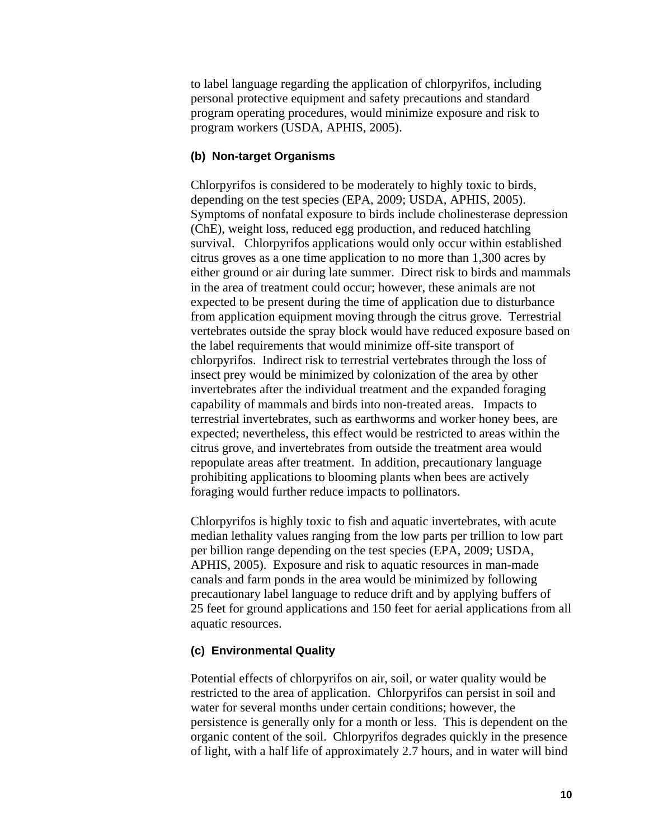to label language regarding the application of chlorpyrifos, including personal protective equipment and safety precautions and standard program operating procedures, would minimize exposure and risk to program workers (USDA, APHIS, 2005).

#### **(b) Non-target Organisms**

Chlorpyrifos is considered to be moderately to highly toxic to birds, depending on the test species (EPA, 2009; USDA, APHIS, 2005). Symptoms of nonfatal exposure to birds include cholinesterase depression (ChE), weight loss, reduced egg production, and reduced hatchling survival. Chlorpyrifos applications would only occur within established citrus groves as a one time application to no more than 1,300 acres by either ground or air during late summer. Direct risk to birds and mammals in the area of treatment could occur; however, these animals are not expected to be present during the time of application due to disturbance from application equipment moving through the citrus grove. Terrestrial vertebrates outside the spray block would have reduced exposure based on the label requirements that would minimize off-site transport of chlorpyrifos. Indirect risk to terrestrial vertebrates through the loss of insect prey would be minimized by colonization of the area by other invertebrates after the individual treatment and the expanded foraging capability of mammals and birds into non-treated areas. Impacts to terrestrial invertebrates, such as earthworms and worker honey bees, are expected; nevertheless, this effect would be restricted to areas within the citrus grove, and invertebrates from outside the treatment area would repopulate areas after treatment. In addition, precautionary language prohibiting applications to blooming plants when bees are actively foraging would further reduce impacts to pollinators.

Chlorpyrifos is highly toxic to fish and aquatic invertebrates, with acute median lethality values ranging from the low parts per trillion to low part per billion range depending on the test species (EPA, 2009; USDA, APHIS, 2005). Exposure and risk to aquatic resources in man-made canals and farm ponds in the area would be minimized by following precautionary label language to reduce drift and by applying buffers of 25 feet for ground applications and 150 feet for aerial applications from all aquatic resources.

#### **(c) Environmental Quality**

Potential effects of chlorpyrifos on air, soil, or water quality would be restricted to the area of application. Chlorpyrifos can persist in soil and water for several months under certain conditions; however, the persistence is generally only for a month or less. This is dependent on the organic content of the soil. Chlorpyrifos degrades quickly in the presence of light, with a half life of approximately 2.7 hours, and in water will bind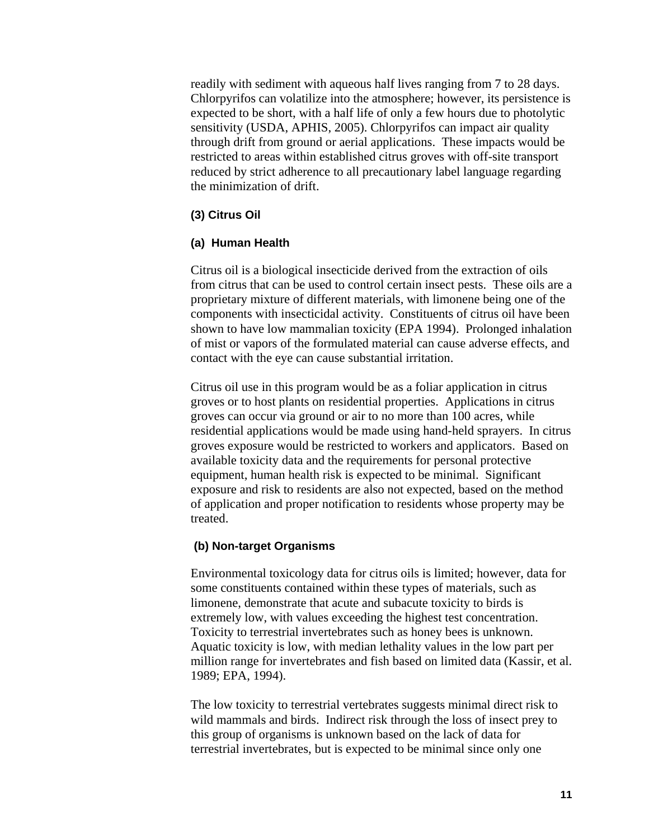readily with sediment with aqueous half lives ranging from 7 to 28 days. Chlorpyrifos can volatilize into the atmosphere; however, its persistence is expected to be short, with a half life of only a few hours due to photolytic sensitivity (USDA, APHIS, 2005). Chlorpyrifos can impact air quality through drift from ground or aerial applications. These impacts would be restricted to areas within established citrus groves with off-site transport reduced by strict adherence to all precautionary label language regarding the minimization of drift.

#### **(3) Citrus Oil**

#### **(a) Human Health**

Citrus oil is a biological insecticide derived from the extraction of oils from citrus that can be used to control certain insect pests. These oils are a proprietary mixture of different materials, with limonene being one of the components with insecticidal activity. Constituents of citrus oil have been shown to have low mammalian toxicity (EPA 1994). Prolonged inhalation of mist or vapors of the formulated material can cause adverse effects, and contact with the eye can cause substantial irritation.

Citrus oil use in this program would be as a foliar application in citrus groves or to host plants on residential properties. Applications in citrus groves can occur via ground or air to no more than 100 acres, while residential applications would be made using hand-held sprayers. In citrus groves exposure would be restricted to workers and applicators. Based on available toxicity data and the requirements for personal protective equipment, human health risk is expected to be minimal. Significant exposure and risk to residents are also not expected, based on the method of application and proper notification to residents whose property may be treated.

#### **(b) Non-target Organisms**

Environmental toxicology data for citrus oils is limited; however, data for some constituents contained within these types of materials, such as limonene, demonstrate that acute and subacute toxicity to birds is extremely low, with values exceeding the highest test concentration. Toxicity to terrestrial invertebrates such as honey bees is unknown. Aquatic toxicity is low, with median lethality values in the low part per million range for invertebrates and fish based on limited data (Kassir, et al. 1989; EPA, 1994).

The low toxicity to terrestrial vertebrates suggests minimal direct risk to wild mammals and birds. Indirect risk through the loss of insect prey to this group of organisms is unknown based on the lack of data for terrestrial invertebrates, but is expected to be minimal since only one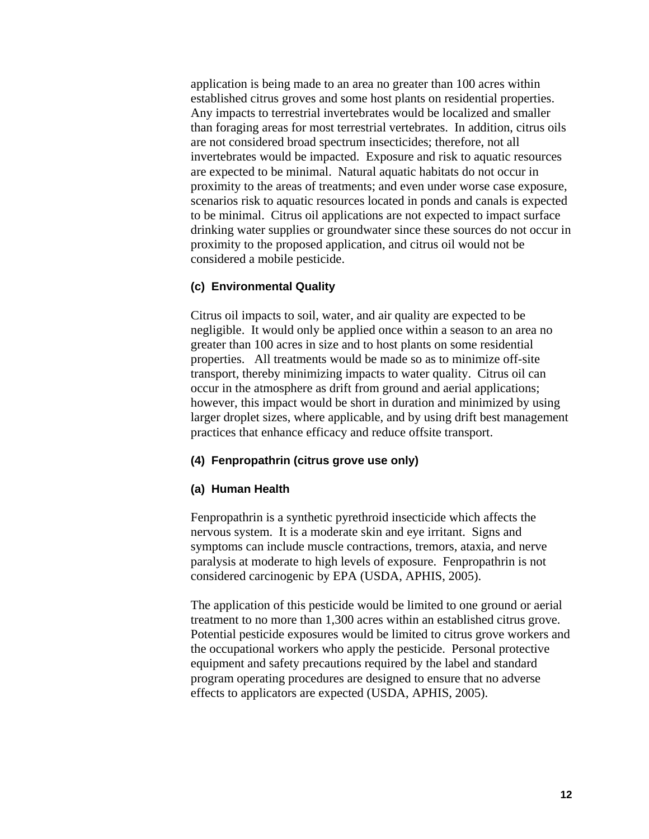application is being made to an area no greater than 100 acres within established citrus groves and some host plants on residential properties. Any impacts to terrestrial invertebrates would be localized and smaller than foraging areas for most terrestrial vertebrates. In addition, citrus oils are not considered broad spectrum insecticides; therefore, not all invertebrates would be impacted. Exposure and risk to aquatic resources are expected to be minimal. Natural aquatic habitats do not occur in proximity to the areas of treatments; and even under worse case exposure, scenarios risk to aquatic resources located in ponds and canals is expected to be minimal. Citrus oil applications are not expected to impact surface drinking water supplies or groundwater since these sources do not occur in proximity to the proposed application, and citrus oil would not be considered a mobile pesticide.

#### **(c) Environmental Quality**

Citrus oil impacts to soil, water, and air quality are expected to be negligible. It would only be applied once within a season to an area no greater than 100 acres in size and to host plants on some residential properties. All treatments would be made so as to minimize off-site transport, thereby minimizing impacts to water quality. Citrus oil can occur in the atmosphere as drift from ground and aerial applications; however, this impact would be short in duration and minimized by using larger droplet sizes, where applicable, and by using drift best management practices that enhance efficacy and reduce offsite transport.

#### **(4) Fenpropathrin (citrus grove use only)**

#### **(a) Human Health**

Fenpropathrin is a synthetic pyrethroid insecticide which affects the nervous system. It is a moderate skin and eye irritant. Signs and symptoms can include muscle contractions, tremors, ataxia, and nerve paralysis at moderate to high levels of exposure. Fenpropathrin is not considered carcinogenic by EPA (USDA, APHIS, 2005).

The application of this pesticide would be limited to one ground or aerial treatment to no more than 1,300 acres within an established citrus grove. Potential pesticide exposures would be limited to citrus grove workers and the occupational workers who apply the pesticide. Personal protective equipment and safety precautions required by the label and standard program operating procedures are designed to ensure that no adverse effects to applicators are expected (USDA, APHIS, 2005).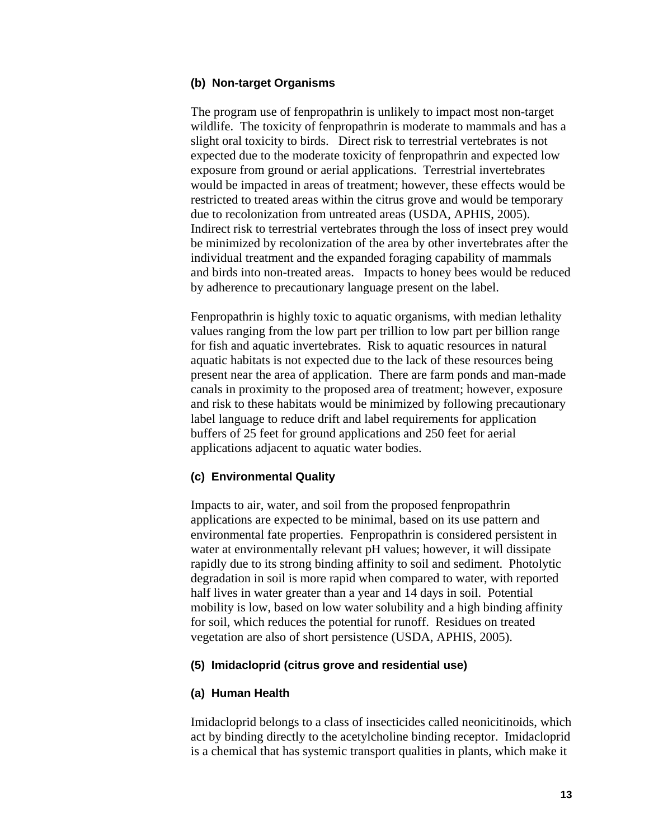#### **(b) Non-target Organisms**

The program use of fenpropathrin is unlikely to impact most non-target wildlife. The toxicity of fenpropathrin is moderate to mammals and has a slight oral toxicity to birds. Direct risk to terrestrial vertebrates is not expected due to the moderate toxicity of fenpropathrin and expected low exposure from ground or aerial applications. Terrestrial invertebrates would be impacted in areas of treatment; however, these effects would be restricted to treated areas within the citrus grove and would be temporary due to recolonization from untreated areas (USDA, APHIS, 2005). Indirect risk to terrestrial vertebrates through the loss of insect prey would be minimized by recolonization of the area by other invertebrates after the individual treatment and the expanded foraging capability of mammals and birds into non-treated areas. Impacts to honey bees would be reduced by adherence to precautionary language present on the label.

Fenpropathrin is highly toxic to aquatic organisms, with median lethality values ranging from the low part per trillion to low part per billion range for fish and aquatic invertebrates. Risk to aquatic resources in natural aquatic habitats is not expected due to the lack of these resources being present near the area of application. There are farm ponds and man-made canals in proximity to the proposed area of treatment; however, exposure and risk to these habitats would be minimized by following precautionary label language to reduce drift and label requirements for application buffers of 25 feet for ground applications and 250 feet for aerial applications adjacent to aquatic water bodies.

#### **(c) Environmental Quality**

Impacts to air, water, and soil from the proposed fenpropathrin applications are expected to be minimal, based on its use pattern and environmental fate properties. Fenpropathrin is considered persistent in water at environmentally relevant pH values; however, it will dissipate rapidly due to its strong binding affinity to soil and sediment. Photolytic degradation in soil is more rapid when compared to water, with reported half lives in water greater than a year and 14 days in soil. Potential mobility is low, based on low water solubility and a high binding affinity for soil, which reduces the potential for runoff. Residues on treated vegetation are also of short persistence (USDA, APHIS, 2005).

#### **(5) Imidacloprid (citrus grove and residential use)**

#### **(a) Human Health**

Imidacloprid belongs to a class of insecticides called neonicitinoids, which act by binding directly to the acetylcholine binding receptor. Imidacloprid is a chemical that has systemic transport qualities in plants, which make it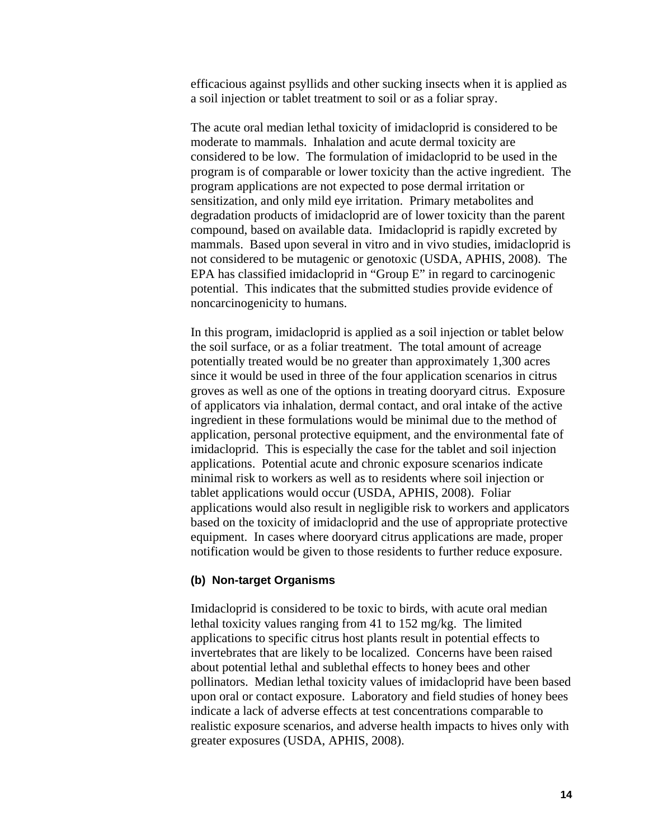efficacious against psyllids and other sucking insects when it is applied as a soil injection or tablet treatment to soil or as a foliar spray.

The acute oral median lethal toxicity of imidacloprid is considered to be moderate to mammals. Inhalation and acute dermal toxicity are considered to be low. The formulation of imidacloprid to be used in the program is of comparable or lower toxicity than the active ingredient. The program applications are not expected to pose dermal irritation or sensitization, and only mild eye irritation. Primary metabolites and degradation products of imidacloprid are of lower toxicity than the parent compound, based on available data. Imidacloprid is rapidly excreted by mammals. Based upon several in vitro and in vivo studies, imidacloprid is not considered to be mutagenic or genotoxic (USDA, APHIS, 2008). The EPA has classified imidacloprid in "Group E" in regard to carcinogenic potential. This indicates that the submitted studies provide evidence of noncarcinogenicity to humans.

In this program, imidacloprid is applied as a soil injection or tablet below the soil surface, or as a foliar treatment. The total amount of acreage potentially treated would be no greater than approximately 1,300 acres since it would be used in three of the four application scenarios in citrus groves as well as one of the options in treating dooryard citrus. Exposure of applicators via inhalation, dermal contact, and oral intake of the active ingredient in these formulations would be minimal due to the method of application, personal protective equipment, and the environmental fate of imidacloprid. This is especially the case for the tablet and soil injection applications. Potential acute and chronic exposure scenarios indicate minimal risk to workers as well as to residents where soil injection or tablet applications would occur (USDA, APHIS, 2008). Foliar applications would also result in negligible risk to workers and applicators based on the toxicity of imidacloprid and the use of appropriate protective equipment. In cases where dooryard citrus applications are made, proper notification would be given to those residents to further reduce exposure.

#### **(b) Non-target Organisms**

Imidacloprid is considered to be toxic to birds, with acute oral median lethal toxicity values ranging from 41 to 152 mg/kg. The limited applications to specific citrus host plants result in potential effects to invertebrates that are likely to be localized. Concerns have been raised about potential lethal and sublethal effects to honey bees and other pollinators. Median lethal toxicity values of imidacloprid have been based upon oral or contact exposure. Laboratory and field studies of honey bees indicate a lack of adverse effects at test concentrations comparable to realistic exposure scenarios, and adverse health impacts to hives only with greater exposures (USDA, APHIS, 2008).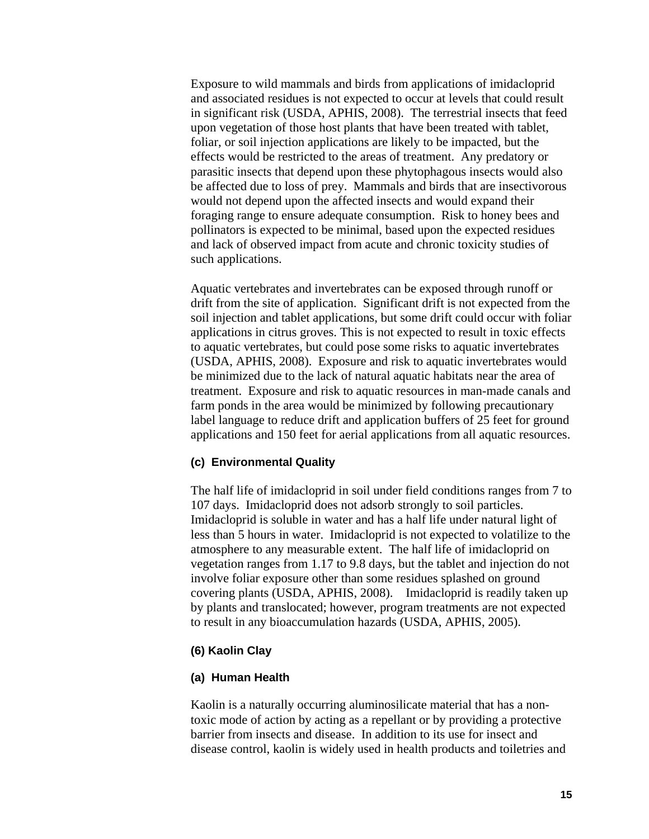Exposure to wild mammals and birds from applications of imidacloprid and associated residues is not expected to occur at levels that could result in significant risk (USDA, APHIS, 2008). The terrestrial insects that feed upon vegetation of those host plants that have been treated with tablet, foliar, or soil injection applications are likely to be impacted, but the effects would be restricted to the areas of treatment. Any predatory or parasitic insects that depend upon these phytophagous insects would also be affected due to loss of prey. Mammals and birds that are insectivorous would not depend upon the affected insects and would expand their foraging range to ensure adequate consumption. Risk to honey bees and pollinators is expected to be minimal, based upon the expected residues and lack of observed impact from acute and chronic toxicity studies of such applications.

Aquatic vertebrates and invertebrates can be exposed through runoff or drift from the site of application. Significant drift is not expected from the soil injection and tablet applications, but some drift could occur with foliar applications in citrus groves. This is not expected to result in toxic effects to aquatic vertebrates, but could pose some risks to aquatic invertebrates (USDA, APHIS, 2008). Exposure and risk to aquatic invertebrates would be minimized due to the lack of natural aquatic habitats near the area of treatment. Exposure and risk to aquatic resources in man-made canals and farm ponds in the area would be minimized by following precautionary label language to reduce drift and application buffers of 25 feet for ground applications and 150 feet for aerial applications from all aquatic resources.

#### **(c) Environmental Quality**

The half life of imidacloprid in soil under field conditions ranges from 7 to 107 days. Imidacloprid does not adsorb strongly to soil particles. Imidacloprid is soluble in water and has a half life under natural light of less than 5 hours in water. Imidacloprid is not expected to volatilize to the atmosphere to any measurable extent. The half life of imidacloprid on vegetation ranges from 1.17 to 9.8 days, but the tablet and injection do not involve foliar exposure other than some residues splashed on ground covering plants (USDA, APHIS, 2008). Imidacloprid is readily taken up by plants and translocated; however, program treatments are not expected to result in any bioaccumulation hazards (USDA, APHIS, 2005).

#### **(6) Kaolin Clay**

#### **(a) Human Health**

Kaolin is a naturally occurring aluminosilicate material that has a nontoxic mode of action by acting as a repellant or by providing a protective barrier from insects and disease. In addition to its use for insect and disease control, kaolin is widely used in health products and toiletries and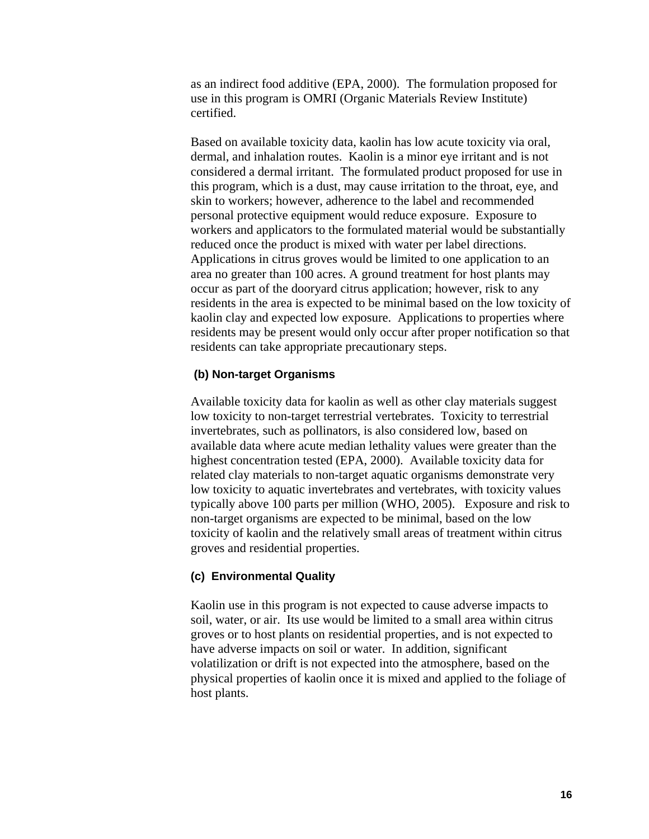as an indirect food additive (EPA, 2000). The formulation proposed for use in this program is OMRI (Organic Materials Review Institute) certified.

Based on available toxicity data, kaolin has low acute toxicity via oral, dermal, and inhalation routes. Kaolin is a minor eye irritant and is not considered a dermal irritant. The formulated product proposed for use in this program, which is a dust, may cause irritation to the throat, eye, and skin to workers; however, adherence to the label and recommended personal protective equipment would reduce exposure. Exposure to workers and applicators to the formulated material would be substantially reduced once the product is mixed with water per label directions. Applications in citrus groves would be limited to one application to an area no greater than 100 acres. A ground treatment for host plants may occur as part of the dooryard citrus application; however, risk to any residents in the area is expected to be minimal based on the low toxicity of kaolin clay and expected low exposure. Applications to properties where residents may be present would only occur after proper notification so that residents can take appropriate precautionary steps.

#### **(b) Non-target Organisms**

Available toxicity data for kaolin as well as other clay materials suggest low toxicity to non-target terrestrial vertebrates. Toxicity to terrestrial invertebrates, such as pollinators, is also considered low, based on available data where acute median lethality values were greater than the highest concentration tested (EPA, 2000). Available toxicity data for related clay materials to non-target aquatic organisms demonstrate very low toxicity to aquatic invertebrates and vertebrates, with toxicity values typically above 100 parts per million (WHO, 2005). Exposure and risk to non-target organisms are expected to be minimal, based on the low toxicity of kaolin and the relatively small areas of treatment within citrus groves and residential properties.

#### **(c) Environmental Quality**

Kaolin use in this program is not expected to cause adverse impacts to soil, water, or air. Its use would be limited to a small area within citrus groves or to host plants on residential properties, and is not expected to have adverse impacts on soil or water. In addition, significant volatilization or drift is not expected into the atmosphere, based on the physical properties of kaolin once it is mixed and applied to the foliage of host plants.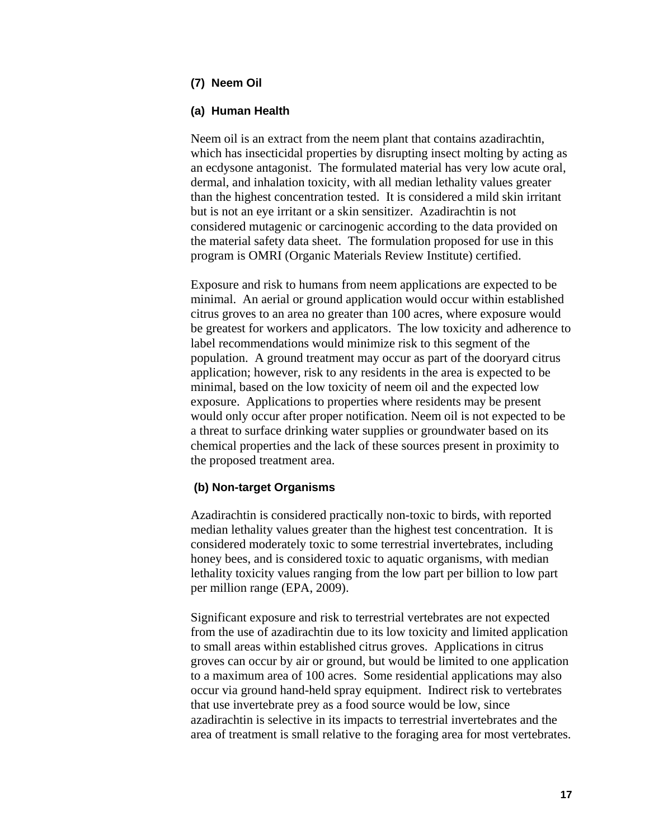#### **(7) Neem Oil**

#### **(a) Human Health**

Neem oil is an extract from the neem plant that contains azadirachtin, which has insecticidal properties by disrupting insect molting by acting as an ecdysone antagonist. The formulated material has very low acute oral, dermal, and inhalation toxicity, with all median lethality values greater than the highest concentration tested. It is considered a mild skin irritant but is not an eye irritant or a skin sensitizer. Azadirachtin is not considered mutagenic or carcinogenic according to the data provided on the material safety data sheet. The formulation proposed for use in this program is OMRI (Organic Materials Review Institute) certified.

Exposure and risk to humans from neem applications are expected to be minimal. An aerial or ground application would occur within established citrus groves to an area no greater than 100 acres, where exposure would be greatest for workers and applicators. The low toxicity and adherence to label recommendations would minimize risk to this segment of the population. A ground treatment may occur as part of the dooryard citrus application; however, risk to any residents in the area is expected to be minimal, based on the low toxicity of neem oil and the expected low exposure. Applications to properties where residents may be present would only occur after proper notification. Neem oil is not expected to be a threat to surface drinking water supplies or groundwater based on its chemical properties and the lack of these sources present in proximity to the proposed treatment area.

#### **(b) Non-target Organisms**

Azadirachtin is considered practically non-toxic to birds, with reported median lethality values greater than the highest test concentration. It is considered moderately toxic to some terrestrial invertebrates, including honey bees, and is considered toxic to aquatic organisms, with median lethality toxicity values ranging from the low part per billion to low part per million range (EPA, 2009).

Significant exposure and risk to terrestrial vertebrates are not expected from the use of azadirachtin due to its low toxicity and limited application to small areas within established citrus groves. Applications in citrus groves can occur by air or ground, but would be limited to one application to a maximum area of 100 acres. Some residential applications may also occur via ground hand-held spray equipment. Indirect risk to vertebrates that use invertebrate prey as a food source would be low, since azadirachtin is selective in its impacts to terrestrial invertebrates and the area of treatment is small relative to the foraging area for most vertebrates.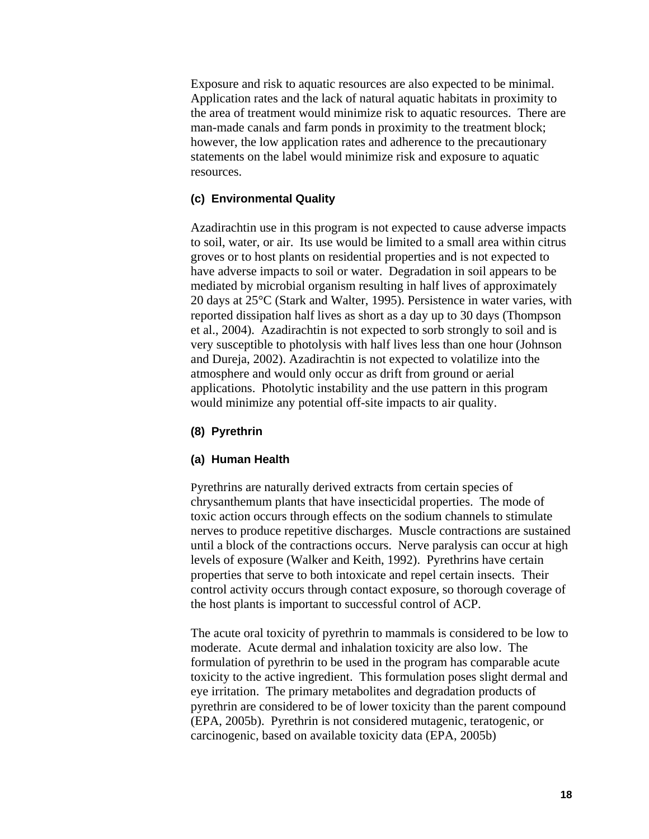Exposure and risk to aquatic resources are also expected to be minimal. Application rates and the lack of natural aquatic habitats in proximity to the area of treatment would minimize risk to aquatic resources. There are man-made canals and farm ponds in proximity to the treatment block; however, the low application rates and adherence to the precautionary statements on the label would minimize risk and exposure to aquatic resources.

#### **(c) Environmental Quality**

Azadirachtin use in this program is not expected to cause adverse impacts to soil, water, or air. Its use would be limited to a small area within citrus groves or to host plants on residential properties and is not expected to have adverse impacts to soil or water. Degradation in soil appears to be mediated by microbial organism resulting in half lives of approximately 20 days at 25°C (Stark and Walter, 1995). Persistence in water varies, with reported dissipation half lives as short as a day up to 30 days (Thompson et al., 2004). Azadirachtin is not expected to sorb strongly to soil and is very susceptible to photolysis with half lives less than one hour (Johnson and Dureja, 2002). Azadirachtin is not expected to volatilize into the atmosphere and would only occur as drift from ground or aerial applications. Photolytic instability and the use pattern in this program would minimize any potential off-site impacts to air quality.

#### **(8) Pyrethrin**

#### **(a) Human Health**

Pyrethrins are naturally derived extracts from certain species of chrysanthemum plants that have insecticidal properties. The mode of toxic action occurs through effects on the sodium channels to stimulate nerves to produce repetitive discharges. Muscle contractions are sustained until a block of the contractions occurs. Nerve paralysis can occur at high levels of exposure (Walker and Keith, 1992). Pyrethrins have certain properties that serve to both intoxicate and repel certain insects. Their control activity occurs through contact exposure, so thorough coverage of the host plants is important to successful control of ACP.

The acute oral toxicity of pyrethrin to mammals is considered to be low to moderate. Acute dermal and inhalation toxicity are also low. The formulation of pyrethrin to be used in the program has comparable acute toxicity to the active ingredient. This formulation poses slight dermal and eye irritation. The primary metabolites and degradation products of pyrethrin are considered to be of lower toxicity than the parent compound (EPA, 2005b). Pyrethrin is not considered mutagenic, teratogenic, or carcinogenic, based on available toxicity data (EPA, 2005b)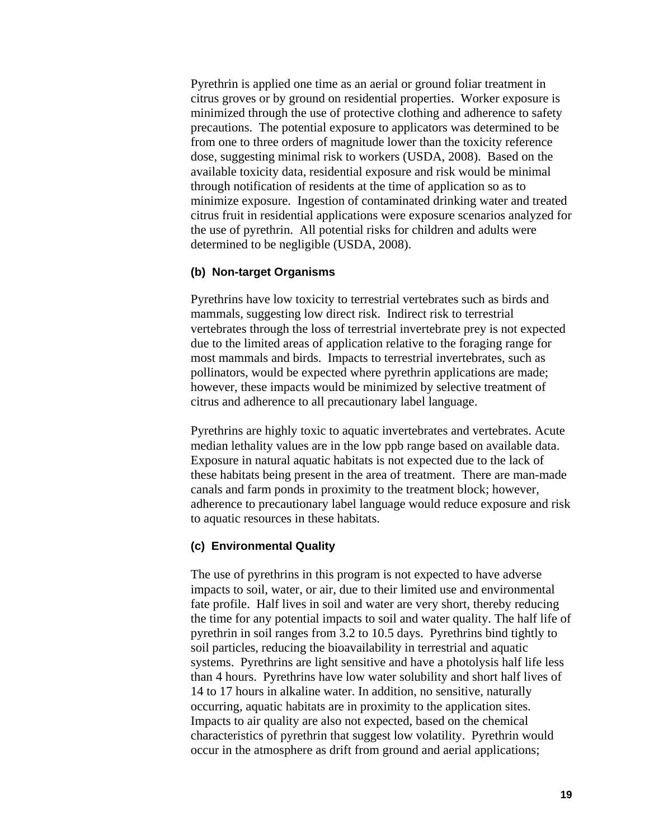Pyrethrin is applied one time as an aerial or ground foliar treatment in citrus groves or by ground on residential properties. Worker exposure is minimized through the use of protective clothing and adherence to safety precautions. The potential exposure to applicators was determined to be from one to three orders of magnitude lower than the toxicity reference dose, suggesting minimal risk to workers (USDA, 2008). Based on the available toxicity data, residential exposure and risk would be minimal through notification of residents at the time of application so as to minimize exposure. Ingestion of contaminated drinking water and treated citrus fruit in residential applications were exposure scenarios analyzed for the use of pyrethrin. All potential risks for children and adults were determined to be negligible (USDA, 2008).

#### **(b) Non-target Organisms**

Pyrethrins have low toxicity to terrestrial vertebrates such as birds and mammals, suggesting low direct risk. Indirect risk to terrestrial vertebrates through the loss of terrestrial invertebrate prey is not expected due to the limited areas of application relative to the foraging range for most mammals and birds. Impacts to terrestrial invertebrates, such as pollinators, would be expected where pyrethrin applications are made; however, these impacts would be minimized by selective treatment of citrus and adherence to all precautionary label language.

Pyrethrins are highly toxic to aquatic invertebrates and vertebrates. Acute median lethality values are in the low ppb range based on available data. Exposure in natural aquatic habitats is not expected due to the lack of these habitats being present in the area of treatment. There are man-made canals and farm ponds in proximity to the treatment block; however, adherence to precautionary label language would reduce exposure and risk to aquatic resources in these habitats.

#### **(c) Environmental Quality**

The use of pyrethrins in this program is not expected to have adverse impacts to soil, water, or air, due to their limited use and environmental fate profile. Half lives in soil and water are very short, thereby reducing the time for any potential impacts to soil and water quality. The half life of pyrethrin in soil ranges from 3.2 to 10.5 days. Pyrethrins bind tightly to soil particles, reducing the bioavailability in terrestrial and aquatic systems. Pyrethrins are light sensitive and have a photolysis half life less than 4 hours. Pyrethrins have low water solubility and short half lives of 14 to 17 hours in alkaline water. In addition, no sensitive, naturally occurring, aquatic habitats are in proximity to the application sites. Impacts to air quality are also not expected, based on the chemical characteristics of pyrethrin that suggest low volatility. Pyrethrin would occur in the atmosphere as drift from ground and aerial applications;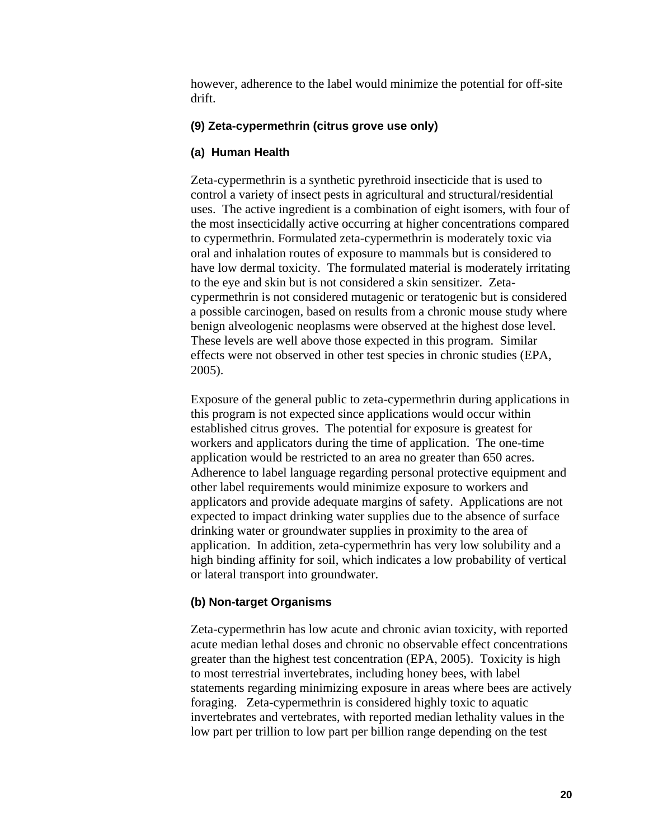however, adherence to the label would minimize the potential for off-site drift.

#### **(9) Zeta-cypermethrin (citrus grove use only)**

#### **(a) Human Health**

Zeta-cypermethrin is a synthetic pyrethroid insecticide that is used to control a variety of insect pests in agricultural and structural/residential uses. The active ingredient is a combination of eight isomers, with four of the most insecticidally active occurring at higher concentrations compared to cypermethrin. Formulated zeta-cypermethrin is moderately toxic via oral and inhalation routes of exposure to mammals but is considered to have low dermal toxicity. The formulated material is moderately irritating to the eye and skin but is not considered a skin sensitizer. Zetacypermethrin is not considered mutagenic or teratogenic but is considered a possible carcinogen, based on results from a chronic mouse study where benign alveologenic neoplasms were observed at the highest dose level. These levels are well above those expected in this program. Similar effects were not observed in other test species in chronic studies (EPA, 2005).

Exposure of the general public to zeta-cypermethrin during applications in this program is not expected since applications would occur within established citrus groves. The potential for exposure is greatest for workers and applicators during the time of application. The one-time application would be restricted to an area no greater than 650 acres. Adherence to label language regarding personal protective equipment and other label requirements would minimize exposure to workers and applicators and provide adequate margins of safety. Applications are not expected to impact drinking water supplies due to the absence of surface drinking water or groundwater supplies in proximity to the area of application. In addition, zeta-cypermethrin has very low solubility and a high binding affinity for soil, which indicates a low probability of vertical or lateral transport into groundwater.

#### **(b) Non-target Organisms**

Zeta-cypermethrin has low acute and chronic avian toxicity, with reported acute median lethal doses and chronic no observable effect concentrations greater than the highest test concentration (EPA, 2005). Toxicity is high to most terrestrial invertebrates, including honey bees, with label statements regarding minimizing exposure in areas where bees are actively foraging. Zeta-cypermethrin is considered highly toxic to aquatic invertebrates and vertebrates, with reported median lethality values in the low part per trillion to low part per billion range depending on the test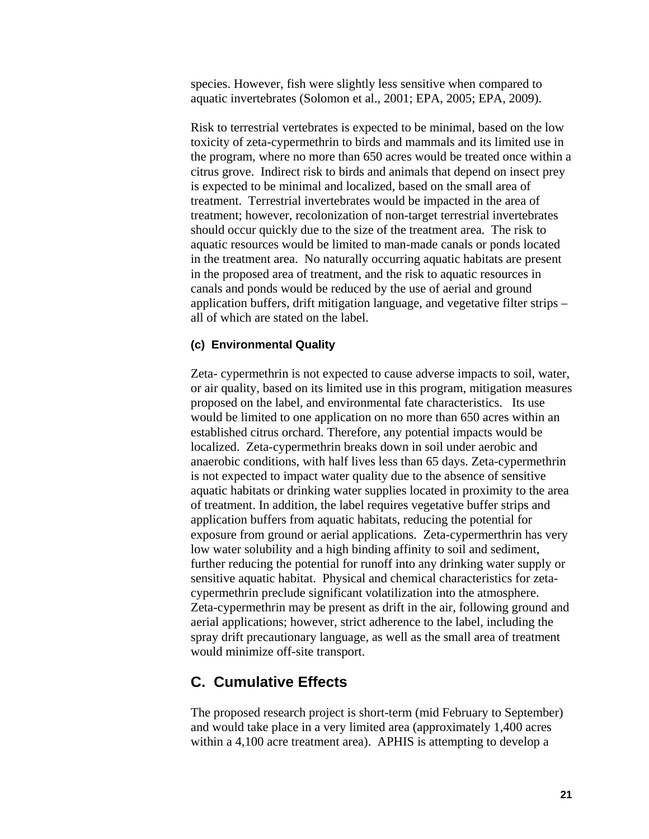species. However, fish were slightly less sensitive when compared to aquatic invertebrates (Solomon et al., 2001; EPA, 2005; EPA, 2009).

Risk to terrestrial vertebrates is expected to be minimal, based on the low toxicity of zeta-cypermethrin to birds and mammals and its limited use in the program, where no more than 650 acres would be treated once within a citrus grove. Indirect risk to birds and animals that depend on insect prey is expected to be minimal and localized, based on the small area of treatment. Terrestrial invertebrates would be impacted in the area of treatment; however, recolonization of non-target terrestrial invertebrates should occur quickly due to the size of the treatment area. The risk to aquatic resources would be limited to man-made canals or ponds located in the treatment area. No naturally occurring aquatic habitats are present in the proposed area of treatment, and the risk to aquatic resources in canals and ponds would be reduced by the use of aerial and ground application buffers, drift mitigation language, and vegetative filter strips – all of which are stated on the label.

#### **(c) Environmental Quality**

Zeta- cypermethrin is not expected to cause adverse impacts to soil, water, or air quality, based on its limited use in this program, mitigation measures proposed on the label, and environmental fate characteristics. Its use would be limited to one application on no more than 650 acres within an established citrus orchard. Therefore, any potential impacts would be localized. Zeta-cypermethrin breaks down in soil under aerobic and anaerobic conditions, with half lives less than 65 days. Zeta-cypermethrin is not expected to impact water quality due to the absence of sensitive aquatic habitats or drinking water supplies located in proximity to the area of treatment. In addition, the label requires vegetative buffer strips and application buffers from aquatic habitats, reducing the potential for exposure from ground or aerial applications. Zeta-cypermerthrin has very low water solubility and a high binding affinity to soil and sediment, further reducing the potential for runoff into any drinking water supply or sensitive aquatic habitat. Physical and chemical characteristics for zetacypermethrin preclude significant volatilization into the atmosphere. Zeta-cypermethrin may be present as drift in the air, following ground and aerial applications; however, strict adherence to the label, including the spray drift precautionary language, as well as the small area of treatment would minimize off-site transport.

#### **C. Cumulative Effects**

The proposed research project is short-term (mid February to September) and would take place in a very limited area (approximately 1,400 acres within a 4,100 acre treatment area). APHIS is attempting to develop a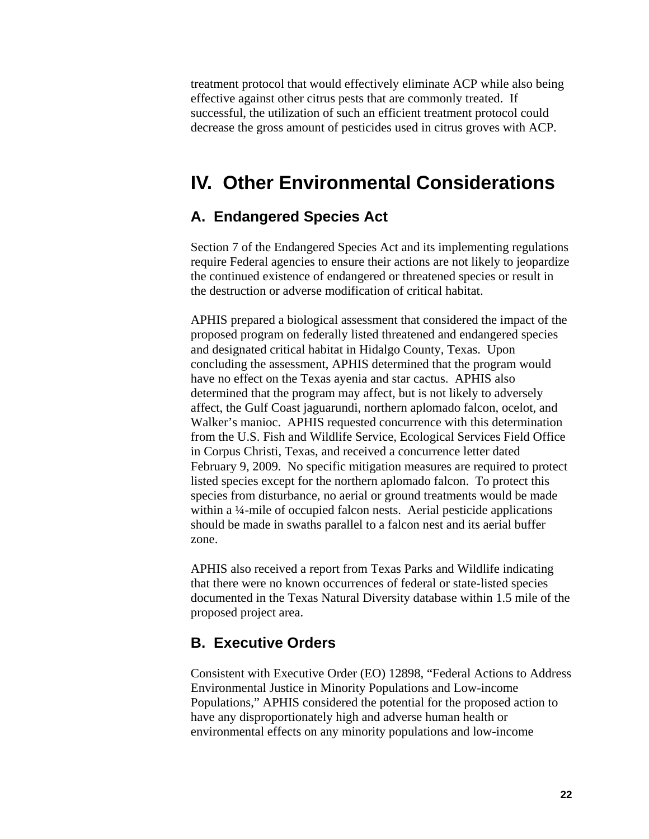treatment protocol that would effectively eliminate ACP while also being effective against other citrus pests that are commonly treated. If successful, the utilization of such an efficient treatment protocol could decrease the gross amount of pesticides used in citrus groves with ACP.

### **IV. Other Environmental Considerations**

#### **A. Endangered Species Act**

Section 7 of the Endangered Species Act and its implementing regulations require Federal agencies to ensure their actions are not likely to jeopardize the continued existence of endangered or threatened species or result in the destruction or adverse modification of critical habitat.

APHIS prepared a biological assessment that considered the impact of the proposed program on federally listed threatened and endangered species and designated critical habitat in Hidalgo County, Texas. Upon concluding the assessment, APHIS determined that the program would have no effect on the Texas ayenia and star cactus. APHIS also determined that the program may affect, but is not likely to adversely affect, the Gulf Coast jaguarundi, northern aplomado falcon, ocelot, and Walker's manioc. APHIS requested concurrence with this determination from the U.S. Fish and Wildlife Service, Ecological Services Field Office in Corpus Christi, Texas, and received a concurrence letter dated February 9, 2009. No specific mitigation measures are required to protect listed species except for the northern aplomado falcon. To protect this species from disturbance, no aerial or ground treatments would be made within a ¼-mile of occupied falcon nests. Aerial pesticide applications should be made in swaths parallel to a falcon nest and its aerial buffer zone.

APHIS also received a report from Texas Parks and Wildlife indicating that there were no known occurrences of federal or state-listed species documented in the Texas Natural Diversity database within 1.5 mile of the proposed project area.

#### **B. Executive Orders**

Consistent with Executive Order (EO) 12898, "Federal Actions to Address Environmental Justice in Minority Populations and Low-income Populations," APHIS considered the potential for the proposed action to have any disproportionately high and adverse human health or environmental effects on any minority populations and low-income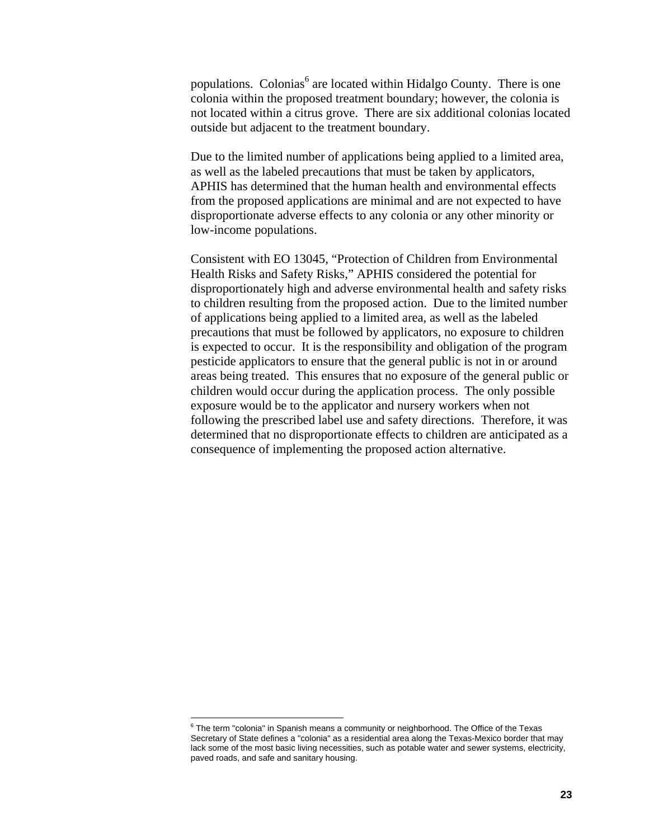populations. Colonias<sup>6</sup> are located within Hidalgo County. There is one colonia within the proposed treatment boundary; however, the colonia is not located within a citrus grove. There are six additional colonias located outside but adjacent to the treatment boundary.

Due to the limited number of applications being applied to a limited area, as well as the labeled precautions that must be taken by applicators, APHIS has determined that the human health and environmental effects from the proposed applications are minimal and are not expected to have disproportionate adverse effects to any colonia or any other minority or low-income populations.

Consistent with EO 13045, "Protection of Children from Environmental Health Risks and Safety Risks," APHIS considered the potential for disproportionately high and adverse environmental health and safety risks to children resulting from the proposed action. Due to the limited number of applications being applied to a limited area, as well as the labeled precautions that must be followed by applicators, no exposure to children is expected to occur. It is the responsibility and obligation of the program pesticide applicators to ensure that the general public is not in or around areas being treated. This ensures that no exposure of the general public or children would occur during the application process. The only possible exposure would be to the applicator and nursery workers when not following the prescribed label use and safety directions. Therefore, it was determined that no disproportionate effects to children are anticipated as a consequence of implementing the proposed action alternative.

 $\overline{a}$ 

 $6$  The term "colonia" in Spanish means a community or neighborhood. The Office of the Texas Secretary of State defines a "colonia" as a residential area along the Texas-Mexico border that may lack some of the most basic living necessities, such as potable water and sewer systems, electricity, paved roads, and safe and sanitary housing.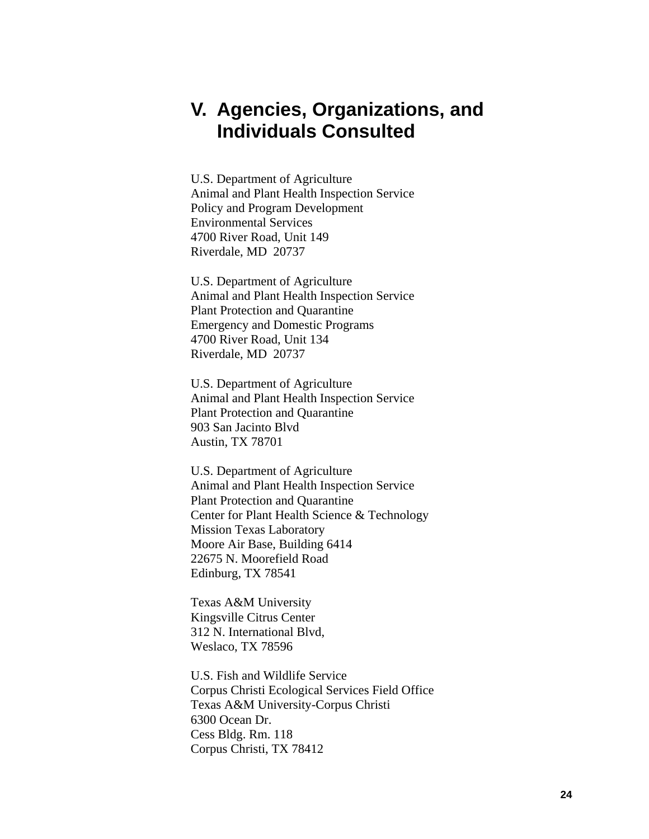### **V. Agencies, Organizations, and Individuals Consulted**

U.S. Department of Agriculture Animal and Plant Health Inspection Service Policy and Program Development Environmental Services 4700 River Road, Unit 149 Riverdale, MD 20737

U.S. Department of Agriculture Animal and Plant Health Inspection Service Plant Protection and Quarantine Emergency and Domestic Programs 4700 River Road, Unit 134 Riverdale, MD 20737

U.S. Department of Agriculture Animal and Plant Health Inspection Service Plant Protection and Quarantine 903 San Jacinto Blvd Austin, TX 78701

U.S. Department of Agriculture Animal and Plant Health Inspection Service Plant Protection and Quarantine Center for Plant Health Science & Technology Mission Texas Laboratory Moore Air Base, Building 6414 22675 N. Moorefield Road Edinburg, TX 78541

Texas A&M University Kingsville Citrus Center 312 N. International Blvd, Weslaco, TX 78596

U.S. Fish and Wildlife Service Corpus Christi Ecological Services Field Office Texas A&M University-Corpus Christi 6300 Ocean Dr. Cess Bldg. Rm. 118 Corpus Christi, TX 78412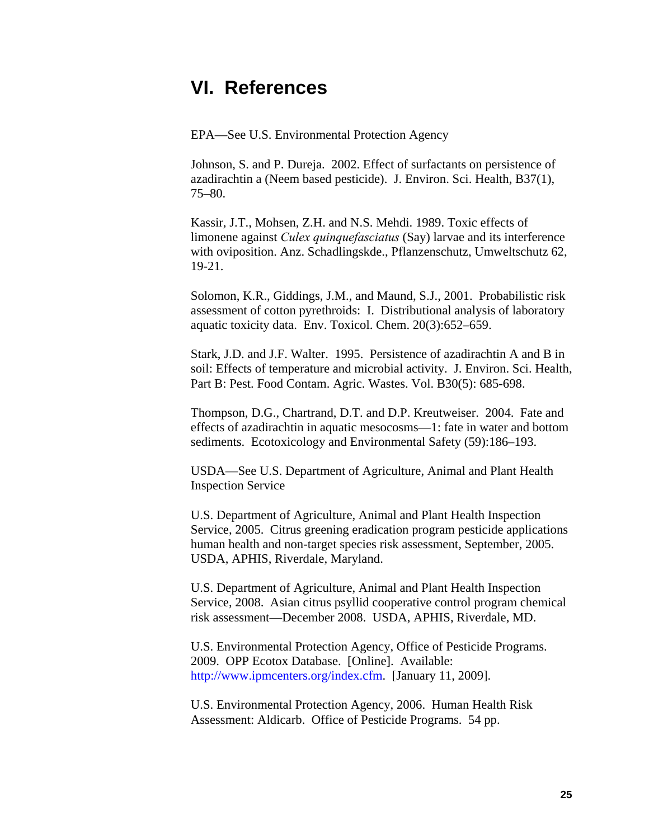### **VI. References**

EPA—See U.S. Environmental Protection Agency

Johnson, S. and P. Dureja. 2002. Effect of surfactants on persistence of azadirachtin a (Neem based pesticide). J. Environ. Sci. Health, B37(1), 75–80.

Kassir, J.T., Mohsen, Z.H. and N.S. Mehdi. 1989. Toxic effects of limonene against *Culex quinquefasciatus* (Say) larvae and its interference with oviposition. Anz. Schadlingskde., Pflanzenschutz, Umweltschutz 62, 19-21.

Solomon, K.R., Giddings, J.M., and Maund, S.J., 2001. Probabilistic risk assessment of cotton pyrethroids: I. Distributional analysis of laboratory aquatic toxicity data. Env. Toxicol. Chem. 20(3):652–659.

Stark, J.D. and J.F. Walter. 1995. Persistence of azadirachtin A and B in soil: Effects of temperature and microbial activity. J. Environ. Sci. Health, Part B: Pest. Food Contam. Agric. Wastes. Vol. B30(5): 685-698.

Thompson, D.G., Chartrand, D.T. and D.P. Kreutweiser. 2004. Fate and effects of azadirachtin in aquatic mesocosms—1: fate in water and bottom sediments. Ecotoxicology and Environmental Safety (59):186–193.

USDA—See U.S. Department of Agriculture, Animal and Plant Health Inspection Service

U.S. Department of Agriculture, Animal and Plant Health Inspection Service, 2005. Citrus greening eradication program pesticide applications human health and non-target species risk assessment, September, 2005. USDA, APHIS, Riverdale, Maryland.

U.S. Department of Agriculture, Animal and Plant Health Inspection Service, 2008. Asian citrus psyllid cooperative control program chemical risk assessment—December 2008. USDA, APHIS, Riverdale, MD.

U.S. Environmental Protection Agency, Office of Pesticide Programs. 2009. OPP Ecotox Database. [Online]. Available: http://www.ipmcenters.org/index.cfm. [January 11, 2009].

U.S. Environmental Protection Agency, 2006. Human Health Risk Assessment: Aldicarb. Office of Pesticide Programs. 54 pp.